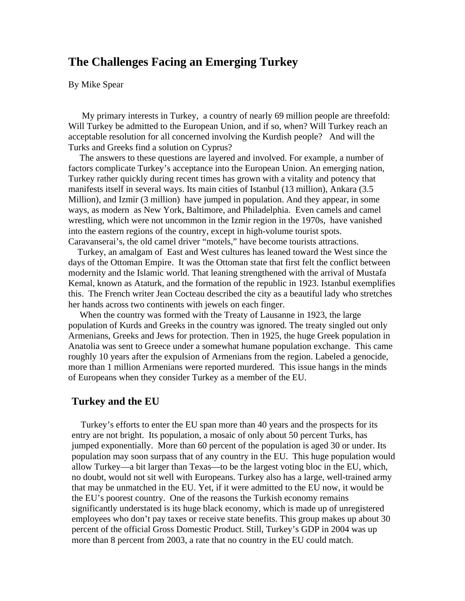# **The Challenges Facing an Emerging Turkey**

By Mike Spear

 My primary interests in Turkey, a country of nearly 69 million people are threefold: Will Turkey be admitted to the European Union, and if so, when? Will Turkey reach an acceptable resolution for all concerned involving the Kurdish people? And will the Turks and Greeks find a solution on Cyprus?

 The answers to these questions are layered and involved. For example, a number of factors complicate Turkey's acceptance into the European Union. An emerging nation, Turkey rather quickly during recent times has grown with a vitality and potency that manifests itself in several ways. Its main cities of Istanbul (13 million), Ankara (3.5 Million), and Izmir (3 million) have jumped in population. And they appear, in some ways, as modern as New York, Baltimore, and Philadelphia. Even camels and camel wrestling, which were not uncommon in the Izmir region in the 1970s, have vanished into the eastern regions of the country, except in high-volume tourist spots. Caravanserai's, the old camel driver "motels," have become tourists attractions.

 Turkey, an amalgam of East and West cultures has leaned toward the West since the days of the Ottoman Empire. It was the Ottoman state that first felt the conflict between modernity and the Islamic world. That leaning strengthened with the arrival of Mustafa Kemal, known as Ataturk, and the formation of the republic in 1923. Istanbul exemplifies this. The French writer Jean Cocteau described the city as a beautiful lady who stretches her hands across two continents with jewels on each finger.

 When the country was formed with the Treaty of Lausanne in 1923, the large population of Kurds and Greeks in the country was ignored. The treaty singled out only Armenians, Greeks and Jews for protection. Then in 1925, the huge Greek population in Anatolia was sent to Greece under a somewhat humane population exchange. This came roughly 10 years after the expulsion of Armenians from the region. Labeled a genocide, more than 1 million Armenians were reported murdered. This issue hangs in the minds of Europeans when they consider Turkey as a member of the EU.

### **Turkey and the EU**

 Turkey's efforts to enter the EU span more than 40 years and the prospects for its entry are not bright. Its population, a mosaic of only about 50 percent Turks, has jumped exponentially. More than 60 percent of the population is aged 30 or under. Its population may soon surpass that of any country in the EU. This huge population would allow Turkey—a bit larger than Texas—to be the largest voting bloc in the EU, which, no doubt, would not sit well with Europeans. Turkey also has a large, well-trained army that may be unmatched in the EU. Yet, if it were admitted to the EU now, it would be the EU's poorest country. One of the reasons the Turkish economy remains significantly understated is its huge black economy, which is made up of unregistered employees who don't pay taxes or receive state benefits. This group makes up about 30 percent of the official Gross Domestic Product. Still, Turkey's GDP in 2004 was up more than 8 percent from 2003, a rate that no country in the EU could match.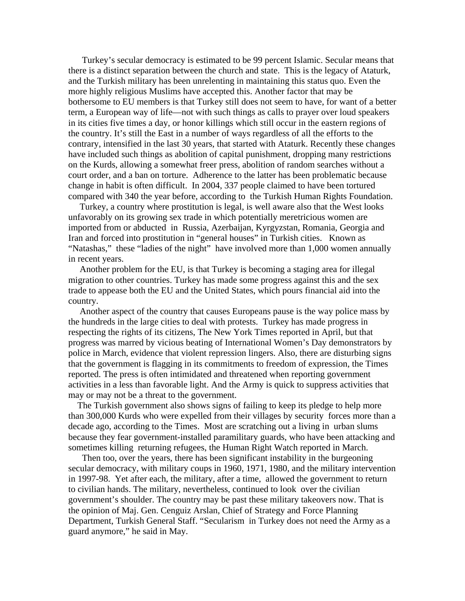Turkey's secular democracy is estimated to be 99 percent Islamic. Secular means that there is a distinct separation between the church and state. This is the legacy of Ataturk, and the Turkish military has been unrelenting in maintaining this status quo. Even the more highly religious Muslims have accepted this. Another factor that may be bothersome to EU members is that Turkey still does not seem to have, for want of a better term, a European way of life—not with such things as calls to prayer over loud speakers in its cities five times a day, or honor killings which still occur in the eastern regions of the country. It's still the East in a number of ways regardless of all the efforts to the contrary, intensified in the last 30 years, that started with Ataturk. Recently these changes have included such things as abolition of capital punishment, dropping many restrictions on the Kurds, allowing a somewhat freer press, abolition of random searches without a court order, and a ban on torture. Adherence to the latter has been problematic because change in habit is often difficult. In 2004, 337 people claimed to have been tortured compared with 340 the year before, according to the Turkish Human Rights Foundation.

 Turkey, a country where prostitution is legal, is well aware also that the West looks unfavorably on its growing sex trade in which potentially meretricious women are imported from or abducted in Russia, Azerbaijan, Kyrgyzstan, Romania, Georgia and Iran and forced into prostitution in "general houses" in Turkish cities. Known as "Natashas," these "ladies of the night" have involved more than 1,000 women annually in recent years.

 Another problem for the EU, is that Turkey is becoming a staging area for illegal migration to other countries. Turkey has made some progress against this and the sex trade to appease both the EU and the United States, which pours financial aid into the country.

 Another aspect of the country that causes Europeans pause is the way police mass by the hundreds in the large cities to deal with protests. Turkey has made progress in respecting the rights of its citizens, The New York Times reported in April, but that progress was marred by vicious beating of International Women's Day demonstrators by police in March, evidence that violent repression lingers. Also, there are disturbing signs that the government is flagging in its commitments to freedom of expression, the Times reported. The press is often intimidated and threatened when reporting government activities in a less than favorable light. And the Army is quick to suppress activities that may or may not be a threat to the government.

 The Turkish government also shows signs of failing to keep its pledge to help more than 300,000 Kurds who were expelled from their villages by security forces more than a decade ago, according to the Times. Most are scratching out a living in urban slums because they fear government-installed paramilitary guards, who have been attacking and sometimes killing returning refugees, the Human Right Watch reported in March.

 Then too, over the years, there has been significant instability in the burgeoning secular democracy, with military coups in 1960, 1971, 1980, and the military intervention in 1997-98. Yet after each, the military, after a time, allowed the government to return to civilian hands. The military, nevertheless, continued to look over the civilian government's shoulder. The country may be past these military takeovers now. That is the opinion of Maj. Gen. Cenguiz Arslan, Chief of Strategy and Force Planning Department, Turkish General Staff. "Secularism in Turkey does not need the Army as a guard anymore," he said in May.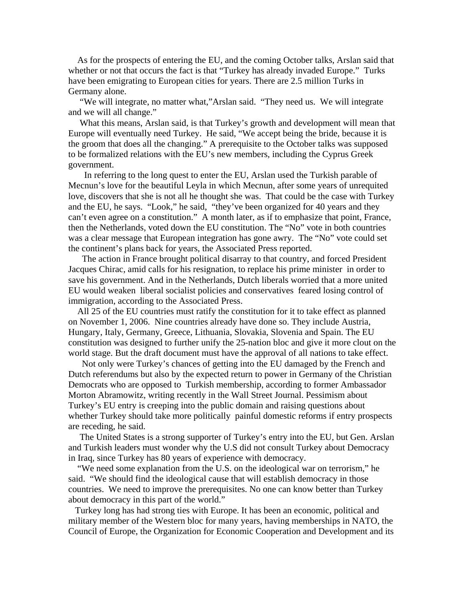As for the prospects of entering the EU, and the coming October talks, Arslan said that whether or not that occurs the fact is that "Turkey has already invaded Europe." Turks have been emigrating to European cities for years. There are 2.5 million Turks in Germany alone.

 "We will integrate, no matter what,"Arslan said. "They need us. We will integrate and we will all change."

 What this means, Arslan said, is that Turkey's growth and development will mean that Europe will eventually need Turkey. He said, "We accept being the bride, because it is the groom that does all the changing." A prerequisite to the October talks was supposed to be formalized relations with the EU's new members, including the Cyprus Greek government.

 In referring to the long quest to enter the EU, Arslan used the Turkish parable of Mecnun's love for the beautiful Leyla in which Mecnun, after some years of unrequited love, discovers that she is not all he thought she was. That could be the case with Turkey and the EU, he says. "Look," he said, "they've been organized for 40 years and they can't even agree on a constitution." A month later, as if to emphasize that point, France, then the Netherlands, voted down the EU constitution. The "No" vote in both countries was a clear message that European integration has gone awry. The "No" vote could set the continent's plans back for years, the Associated Press reported.

 The action in France brought political disarray to that country, and forced President Jacques Chirac, amid calls for his resignation, to replace his prime minister in order to save his government. And in the Netherlands, Dutch liberals worried that a more united EU would weaken liberal socialist policies and conservatives feared losing control of immigration, according to the Associated Press.

 All 25 of the EU countries must ratify the constitution for it to take effect as planned on November 1, 2006. Nine countries already have done so. They include Austria, Hungary, Italy, Germany, Greece, Lithuania, Slovakia, Slovenia and Spain. The EU constitution was designed to further unify the 25-nation bloc and give it more clout on the world stage. But the draft document must have the approval of all nations to take effect.

 Not only were Turkey's chances of getting into the EU damaged by the French and Dutch referendums but also by the expected return to power in Germany of the Christian Democrats who are opposed to Turkish membership, according to former Ambassador Morton Abramowitz, writing recently in the Wall Street Journal. Pessimism about Turkey's EU entry is creeping into the public domain and raising questions about whether Turkey should take more politically painful domestic reforms if entry prospects are receding, he said.

 The United States is a strong supporter of Turkey's entry into the EU, but Gen. Arslan and Turkish leaders must wonder why the U.S did not consult Turkey about Democracy in Iraq, since Turkey has 80 years of experience with democracy.

 "We need some explanation from the U.S. on the ideological war on terrorism," he said. "We should find the ideological cause that will establish democracy in those countries. We need to improve the prerequisites. No one can know better than Turkey about democracy in this part of the world."

 Turkey long has had strong ties with Europe. It has been an economic, political and military member of the Western bloc for many years, having memberships in NATO, the Council of Europe, the Organization for Economic Cooperation and Development and its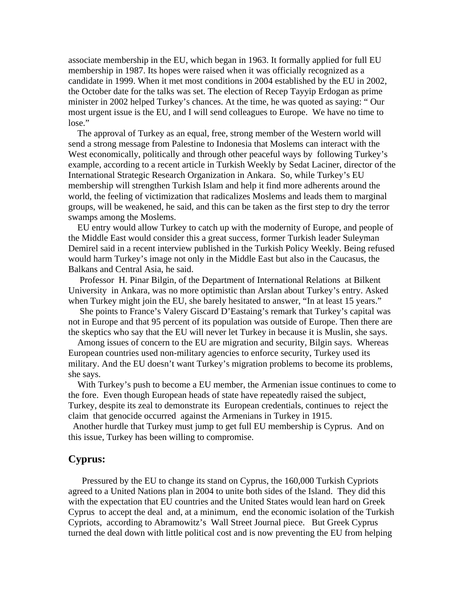associate membership in the EU, which began in 1963. It formally applied for full EU membership in 1987. Its hopes were raised when it was officially recognized as a candidate in 1999. When it met most conditions in 2004 established by the EU in 2002, the October date for the talks was set. The election of Recep Tayyip Erdogan as prime minister in 2002 helped Turkey's chances. At the time, he was quoted as saying: " Our most urgent issue is the EU, and I will send colleagues to Europe. We have no time to lose."

 The approval of Turkey as an equal, free, strong member of the Western world will send a strong message from Palestine to Indonesia that Moslems can interact with the West economically, politically and through other peaceful ways by following Turkey's example, according to a recent article in Turkish Weekly by Sedat Laciner, director of the International Strategic Research Organization in Ankara. So, while Turkey's EU membership will strengthen Turkish Islam and help it find more adherents around the world, the feeling of victimization that radicalizes Moslems and leads them to marginal groups, will be weakened, he said, and this can be taken as the first step to dry the terror swamps among the Moslems.

 EU entry would allow Turkey to catch up with the modernity of Europe, and people of the Middle East would consider this a great success, former Turkish leader Suleyman Demirel said in a recent interview published in the Turkish Policy Weekly. Being refused would harm Turkey's image not only in the Middle East but also in the Caucasus, the Balkans and Central Asia, he said.

 Professor H. Pinar Bilgin, of the Department of International Relations at Bilkent University in Ankara, was no more optimistic than Arslan about Turkey's entry. Asked when Turkey might join the EU, she barely hesitated to answer, "In at least 15 years."

 She points to France's Valery Giscard D'Eastaing's remark that Turkey's capital was not in Europe and that 95 percent of its population was outside of Europe. Then there are the skeptics who say that the EU will never let Turkey in because it is Muslin, she says.

 Among issues of concern to the EU are migration and security, Bilgin says. Whereas European countries used non-military agencies to enforce security, Turkey used its military. And the EU doesn't want Turkey's migration problems to become its problems, she says.

 With Turkey's push to become a EU member, the Armenian issue continues to come to the fore. Even though European heads of state have repeatedly raised the subject, Turkey, despite its zeal to demonstrate its European credentials, continues to reject the claim that genocide occurred against the Armenians in Turkey in 1915.

 Another hurdle that Turkey must jump to get full EU membership is Cyprus. And on this issue, Turkey has been willing to compromise.

## **Cyprus:**

 Pressured by the EU to change its stand on Cyprus, the 160,000 Turkish Cypriots agreed to a United Nations plan in 2004 to unite both sides of the Island. They did this with the expectation that EU countries and the United States would lean hard on Greek Cyprus to accept the deal and, at a minimum, end the economic isolation of the Turkish Cypriots, according to Abramowitz's Wall Street Journal piece. But Greek Cyprus turned the deal down with little political cost and is now preventing the EU from helping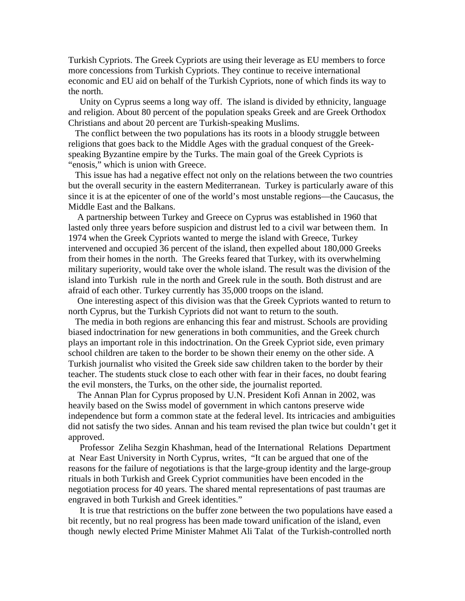Turkish Cypriots. The Greek Cypriots are using their leverage as EU members to force more concessions from Turkish Cypriots. They continue to receive international economic and EU aid on behalf of the Turkish Cypriots, none of which finds its way to the north.

 Unity on Cyprus seems a long way off. The island is divided by ethnicity, language and religion. About 80 percent of the population speaks Greek and are Greek Orthodox Christians and about 20 percent are Turkish-speaking Muslims.

 The conflict between the two populations has its roots in a bloody struggle between religions that goes back to the Middle Ages with the gradual conquest of the Greekspeaking Byzantine empire by the Turks. The main goal of the Greek Cypriots is "enosis," which is union with Greece.

 This issue has had a negative effect not only on the relations between the two countries but the overall security in the eastern Mediterranean. Turkey is particularly aware of this since it is at the epicenter of one of the world's most unstable regions—the Caucasus, the Middle East and the Balkans.

 A partnership between Turkey and Greece on Cyprus was established in 1960 that lasted only three years before suspicion and distrust led to a civil war between them. In 1974 when the Greek Cypriots wanted to merge the island with Greece, Turkey intervened and occupied 36 percent of the island, then expelled about 180,000 Greeks from their homes in the north. The Greeks feared that Turkey, with its overwhelming military superiority, would take over the whole island. The result was the division of the island into Turkish rule in the north and Greek rule in the south. Both distrust and are afraid of each other. Turkey currently has 35,000 troops on the island.

 One interesting aspect of this division was that the Greek Cypriots wanted to return to north Cyprus, but the Turkish Cypriots did not want to return to the south.

 The media in both regions are enhancing this fear and mistrust. Schools are providing biased indoctrination for new generations in both communities, and the Greek church plays an important role in this indoctrination. On the Greek Cypriot side, even primary school children are taken to the border to be shown their enemy on the other side. A Turkish journalist who visited the Greek side saw children taken to the border by their teacher. The students stuck close to each other with fear in their faces, no doubt fearing the evil monsters, the Turks, on the other side, the journalist reported.

 The Annan Plan for Cyprus proposed by U.N. President Kofi Annan in 2002, was heavily based on the Swiss model of government in which cantons preserve wide independence but form a common state at the federal level. Its intricacies and ambiguities did not satisfy the two sides. Annan and his team revised the plan twice but couldn't get it approved.

 Professor Zeliha Sezgin Khashman, head of the International Relations Department at Near East University in North Cyprus, writes, "It can be argued that one of the reasons for the failure of negotiations is that the large-group identity and the large-group rituals in both Turkish and Greek Cypriot communities have been encoded in the negotiation process for 40 years. The shared mental representations of past traumas are engraved in both Turkish and Greek identities."

 It is true that restrictions on the buffer zone between the two populations have eased a bit recently, but no real progress has been made toward unification of the island, even though newly elected Prime Minister Mahmet Ali Talat of the Turkish-controlled north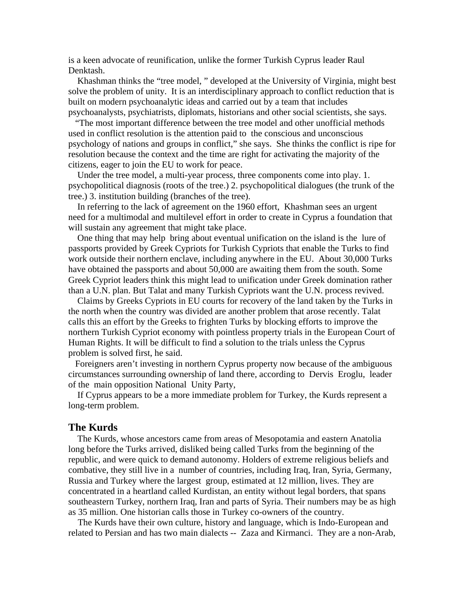is a keen advocate of reunification, unlike the former Turkish Cyprus leader Raul Denktash.

 Khashman thinks the "tree model, " developed at the University of Virginia, might best solve the problem of unity. It is an interdisciplinary approach to conflict reduction that is built on modern psychoanalytic ideas and carried out by a team that includes psychoanalysts, psychiatrists, diplomats, historians and other social scientists, she says.

 "The most important difference between the tree model and other unofficial methods used in conflict resolution is the attention paid to the conscious and unconscious psychology of nations and groups in conflict," she says. She thinks the conflict is ripe for resolution because the context and the time are right for activating the majority of the citizens, eager to join the EU to work for peace.

 Under the tree model, a multi-year process, three components come into play. 1. psychopolitical diagnosis (roots of the tree.) 2. psychopolitical dialogues (the trunk of the tree.) 3. institution building (branches of the tree).

 In referring to the lack of agreement on the 1960 effort, Khashman sees an urgent need for a multimodal and multilevel effort in order to create in Cyprus a foundation that will sustain any agreement that might take place.

 One thing that may help bring about eventual unification on the island is the lure of passports provided by Greek Cypriots for Turkish Cypriots that enable the Turks to find work outside their northern enclave, including anywhere in the EU. About 30,000 Turks have obtained the passports and about 50,000 are awaiting them from the south. Some Greek Cypriot leaders think this might lead to unification under Greek domination rather than a U.N. plan. But Talat and many Turkish Cypriots want the U.N. process revived.

 Claims by Greeks Cypriots in EU courts for recovery of the land taken by the Turks in the north when the country was divided are another problem that arose recently. Talat calls this an effort by the Greeks to frighten Turks by blocking efforts to improve the northern Turkish Cypriot economy with pointless property trials in the European Court of Human Rights. It will be difficult to find a solution to the trials unless the Cyprus problem is solved first, he said.

 Foreigners aren't investing in northern Cyprus property now because of the ambiguous circumstances surrounding ownership of land there, according to Dervis Eroglu, leader of the main opposition National Unity Party,

 If Cyprus appears to be a more immediate problem for Turkey, the Kurds represent a long-term problem.

### **The Kurds**

 The Kurds, whose ancestors came from areas of Mesopotamia and eastern Anatolia long before the Turks arrived, disliked being called Turks from the beginning of the republic, and were quick to demand autonomy. Holders of extreme religious beliefs and combative, they still live in a number of countries, including Iraq, Iran, Syria, Germany, Russia and Turkey where the largest group, estimated at 12 million, lives. They are concentrated in a heartland called Kurdistan, an entity without legal borders, that spans southeastern Turkey, northern Iraq, Iran and parts of Syria. Their numbers may be as high as 35 million. One historian calls those in Turkey co-owners of the country.

 The Kurds have their own culture, history and language, which is Indo-European and related to Persian and has two main dialects -- Zaza and Kirmanci. They are a non-Arab,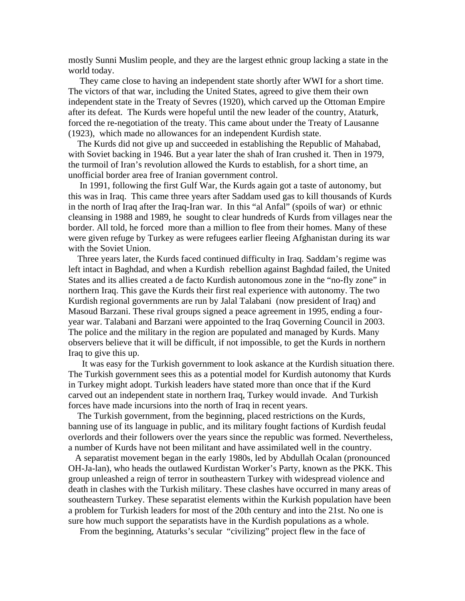mostly Sunni Muslim people, and they are the largest ethnic group lacking a state in the world today.

 They came close to having an independent state shortly after WWI for a short time. The victors of that war, including the United States, agreed to give them their own independent state in the Treaty of Sevres (1920), which carved up the Ottoman Empire after its defeat. The Kurds were hopeful until the new leader of the country, Ataturk, forced the re-negotiation of the treaty. This came about under the Treaty of Lausanne (1923), which made no allowances for an independent Kurdish state.

 The Kurds did not give up and succeeded in establishing the Republic of Mahabad, with Soviet backing in 1946. But a year later the shah of Iran crushed it. Then in 1979, the turmoil of Iran's revolution allowed the Kurds to establish, for a short time, an unofficial border area free of Iranian government control.

 In 1991, following the first Gulf War, the Kurds again got a taste of autonomy, but this was in Iraq. This came three years after Saddam used gas to kill thousands of Kurds in the north of Iraq after the Iraq-Iran war. In this "al Anfal" (spoils of war) or ethnic cleansing in 1988 and 1989, he sought to clear hundreds of Kurds from villages near the border. All told, he forced more than a million to flee from their homes. Many of these were given refuge by Turkey as were refugees earlier fleeing Afghanistan during its war with the Soviet Union.

 Three years later, the Kurds faced continued difficulty in Iraq. Saddam's regime was left intact in Baghdad, and when a Kurdish rebellion against Baghdad failed, the United States and its allies created a de facto Kurdish autonomous zone in the "no-fly zone" in northern Iraq. This gave the Kurds their first real experience with autonomy. The two Kurdish regional governments are run by Jalal Talabani (now president of Iraq) and Masoud Barzani. These rival groups signed a peace agreement in 1995, ending a fouryear war. Talabani and Barzani were appointed to the Iraq Governing Council in 2003. The police and the military in the region are populated and managed by Kurds. Many observers believe that it will be difficult, if not impossible, to get the Kurds in northern Iraq to give this up.

 It was easy for the Turkish government to look askance at the Kurdish situation there. The Turkish government sees this as a potential model for Kurdish autonomy that Kurds in Turkey might adopt. Turkish leaders have stated more than once that if the Kurd carved out an independent state in northern Iraq, Turkey would invade. And Turkish forces have made incursions into the north of Iraq in recent years.

 The Turkish government, from the beginning, placed restrictions on the Kurds, banning use of its language in public, and its military fought factions of Kurdish feudal overlords and their followers over the years since the republic was formed. Nevertheless, a number of Kurds have not been militant and have assimilated well in the country.

 A separatist movement began in the early 1980s, led by Abdullah Ocalan (pronounced OH-Ja-lan), who heads the outlawed Kurdistan Worker's Party, known as the PKK. This group unleashed a reign of terror in southeastern Turkey with widespread violence and death in clashes with the Turkish military. These clashes have occurred in many areas of southeastern Turkey. These separatist elements within the Kurkish population have been a problem for Turkish leaders for most of the 20th century and into the 21st. No one is sure how much support the separatists have in the Kurdish populations as a whole.

From the beginning, Ataturks's secular "civilizing" project flew in the face of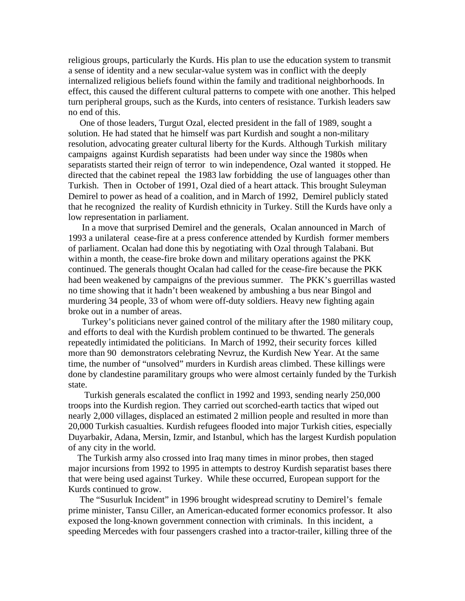religious groups, particularly the Kurds. His plan to use the education system to transmit a sense of identity and a new secular-value system was in conflict with the deeply internalized religious beliefs found within the family and traditional neighborhoods. In effect, this caused the different cultural patterns to compete with one another. This helped turn peripheral groups, such as the Kurds, into centers of resistance. Turkish leaders saw no end of this.

 One of those leaders, Turgut Ozal, elected president in the fall of 1989, sought a solution. He had stated that he himself was part Kurdish and sought a non-military resolution, advocating greater cultural liberty for the Kurds. Although Turkish military campaigns against Kurdish separatists had been under way since the 1980s when separatists started their reign of terror to win independence, Ozal wanted it stopped. He directed that the cabinet repeal the 1983 law forbidding the use of languages other than Turkish. Then in October of 1991, Ozal died of a heart attack. This brought Suleyman Demirel to power as head of a coalition, and in March of 1992, Demirel publicly stated that he recognized the reality of Kurdish ethnicity in Turkey. Still the Kurds have only a low representation in parliament.

 In a move that surprised Demirel and the generals, Ocalan announced in March of 1993 a unilateral cease-fire at a press conference attended by Kurdish former members of parliament. Ocalan had done this by negotiating with Ozal through Talabani. But within a month, the cease-fire broke down and military operations against the PKK continued. The generals thought Ocalan had called for the cease-fire because the PKK had been weakened by campaigns of the previous summer. The PKK's guerrillas wasted no time showing that it hadn't been weakened by ambushing a bus near Bingol and murdering 34 people, 33 of whom were off-duty soldiers. Heavy new fighting again broke out in a number of areas.

 Turkey's politicians never gained control of the military after the 1980 military coup, and efforts to deal with the Kurdish problem continued to be thwarted. The generals repeatedly intimidated the politicians. In March of 1992, their security forces killed more than 90 demonstrators celebrating Nevruz, the Kurdish New Year. At the same time, the number of "unsolved" murders in Kurdish areas climbed. These killings were done by clandestine paramilitary groups who were almost certainly funded by the Turkish state.

 Turkish generals escalated the conflict in 1992 and 1993, sending nearly 250,000 troops into the Kurdish region. They carried out scorched-earth tactics that wiped out nearly 2,000 villages, displaced an estimated 2 million people and resulted in more than 20,000 Turkish casualties. Kurdish refugees flooded into major Turkish cities, especially Duyarbakir, Adana, Mersin, Izmir, and Istanbul, which has the largest Kurdish population of any city in the world.

 The Turkish army also crossed into Iraq many times in minor probes, then staged major incursions from 1992 to 1995 in attempts to destroy Kurdish separatist bases there that were being used against Turkey. While these occurred, European support for the Kurds continued to grow.

 The "Susurluk Incident" in 1996 brought widespread scrutiny to Demirel's female prime minister, Tansu Ciller, an American-educated former economics professor. It also exposed the long-known government connection with criminals. In this incident, a speeding Mercedes with four passengers crashed into a tractor-trailer, killing three of the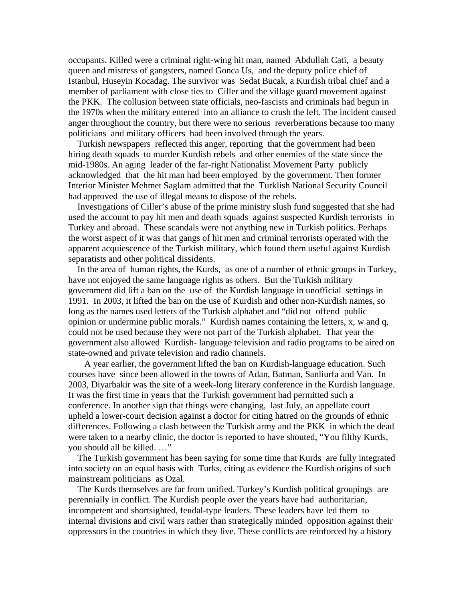occupants. Killed were a criminal right-wing hit man, named Abdullah Cati, a beauty queen and mistress of gangsters, named Gonca Us, and the deputy police chief of Istanbul, Huseyin Kocadag. The survivor was Sedat Bucak, a Kurdish tribal chief and a member of parliament with close ties to Ciller and the village guard movement against the PKK. The collusion between state officials, neo-fascists and criminals had begun in the 1970s when the military entered into an alliance to crush the left. The incident caused anger throughout the country, but there were no serious reverberations because too many politicians and military officers had been involved through the years.

 Turkish newspapers reflected this anger, reporting that the government had been hiring death squads to murder Kurdish rebels and other enemies of the state since the mid-1980s. An aging leader of the far-right Nationalist Movement Party publicly acknowledged that the hit man had been employed by the government. Then former Interior Minister Mehmet Saglam admitted that the Turklish National Security Council had approved the use of illegal means to dispose of the rebels.

 Investigations of Ciller's abuse of the prime ministry slush fund suggested that she had used the account to pay hit men and death squads against suspected Kurdish terrorists in Turkey and abroad. These scandals were not anything new in Turkish politics. Perhaps the worst aspect of it was that gangs of hit men and criminal terrorists operated with the apparent acquiescence of the Turkish military, which found them useful against Kurdish separatists and other political dissidents.

 In the area of human rights, the Kurds, as one of a number of ethnic groups in Turkey, have not enjoyed the same language rights as others. But the Turkish military government did lift a ban on the use of the Kurdish language in unofficial settings in 1991. In 2003, it lifted the ban on the use of Kurdish and other non-Kurdish names, so long as the names used letters of the Turkish alphabet and "did not offend public opinion or undermine public morals." Kurdish names containing the letters, x, w and q, could not be used because they were not part of the Turkish alphabet. That year the government also allowed Kurdish- language television and radio programs to be aired on state-owned and private television and radio channels.

 A year earlier, the government lifted the ban on Kurdish-language education. Such courses have since been allowed in the towns of Adan, Batman, Sanliurfa and Van. In 2003, Diyarbakir was the site of a week-long literary conference in the Kurdish language. It was the first time in years that the Turkish government had permitted such a conference. In another sign that things were changing, last July, an appellate court upheld a lower-court decision against a doctor for citing hatred on the grounds of ethnic differences. Following a clash between the Turkish army and the PKK in which the dead were taken to a nearby clinic, the doctor is reported to have shouted, "You filthy Kurds, you should all be killed. …"

 The Turkish government has been saying for some time that Kurds are fully integrated into society on an equal basis with Turks, citing as evidence the Kurdish origins of such mainstream politicians as Ozal.

 The Kurds themselves are far from unified. Turkey's Kurdish political groupings are perennially in conflict. The Kurdish people over the years have had authoritarian, incompetent and shortsighted, feudal-type leaders. These leaders have led them to internal divisions and civil wars rather than strategically minded opposition against their oppressors in the countries in which they live. These conflicts are reinforced by a history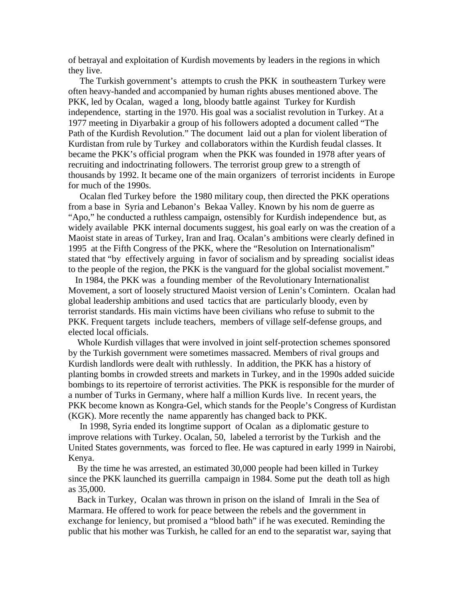of betrayal and exploitation of Kurdish movements by leaders in the regions in which they live.

 The Turkish government's attempts to crush the PKK in southeastern Turkey were often heavy-handed and accompanied by human rights abuses mentioned above. The PKK, led by Ocalan, waged a long, bloody battle against Turkey for Kurdish independence, starting in the 1970. His goal was a socialist revolution in Turkey. At a 1977 meeting in Diyarbakir a group of his followers adopted a document called "The Path of the Kurdish Revolution." The document laid out a plan for violent liberation of Kurdistan from rule by Turkey and collaborators within the Kurdish feudal classes. It became the PKK's official program when the PKK was founded in 1978 after years of recruiting and indoctrinating followers. The terrorist group grew to a strength of thousands by 1992. It became one of the main organizers of terrorist incidents in Europe for much of the 1990s.

 Ocalan fled Turkey before the 1980 military coup, then directed the PKK operations from a base in Syria and Lebanon's Bekaa Valley. Known by his nom de guerre as "Apo," he conducted a ruthless campaign, ostensibly for Kurdish independence but, as widely available PKK internal documents suggest, his goal early on was the creation of a Maoist state in areas of Turkey, Iran and Iraq. Ocalan's ambitions were clearly defined in 1995 at the Fifth Congress of the PKK, where the "Resolution on Internationalism" stated that "by effectively arguing in favor of socialism and by spreading socialist ideas to the people of the region, the PKK is the vanguard for the global socialist movement."

 In 1984, the PKK was a founding member of the Revolutionary Internationalist Movement, a sort of loosely structured Maoist version of Lenin's Comintern. Ocalan had global leadership ambitions and used tactics that are particularly bloody, even by terrorist standards. His main victims have been civilians who refuse to submit to the PKK. Frequent targets include teachers, members of village self-defense groups, and elected local officials.

 Whole Kurdish villages that were involved in joint self-protection schemes sponsored by the Turkish government were sometimes massacred. Members of rival groups and Kurdish landlords were dealt with ruthlessly. In addition, the PKK has a history of planting bombs in crowded streets and markets in Turkey, and in the 1990s added suicide bombings to its repertoire of terrorist activities. The PKK is responsible for the murder of a number of Turks in Germany, where half a million Kurds live. In recent years, the PKK become known as Kongra-Gel, which stands for the People's Congress of Kurdistan (KGK). More recently the name apparently has changed back to PKK.

 In 1998, Syria ended its longtime support of Ocalan as a diplomatic gesture to improve relations with Turkey. Ocalan, 50, labeled a terrorist by the Turkish and the United States governments, was forced to flee. He was captured in early 1999 in Nairobi, Kenya.

 By the time he was arrested, an estimated 30,000 people had been killed in Turkey since the PKK launched its guerrilla campaign in 1984. Some put the death toll as high as 35,000.

 Back in Turkey, Ocalan was thrown in prison on the island of Imrali in the Sea of Marmara. He offered to work for peace between the rebels and the government in exchange for leniency, but promised a "blood bath" if he was executed. Reminding the public that his mother was Turkish, he called for an end to the separatist war, saying that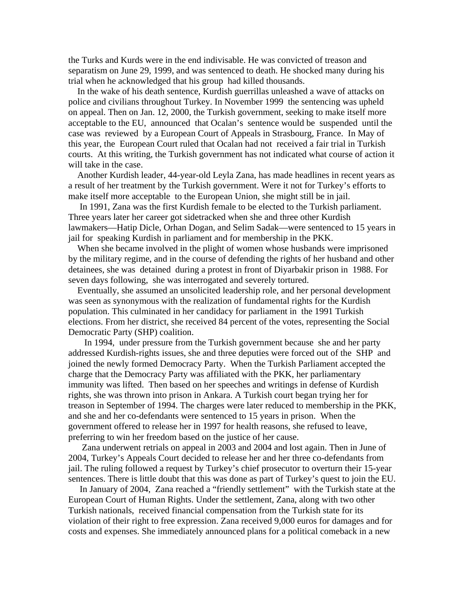the Turks and Kurds were in the end indivisable. He was convicted of treason and separatism on June 29, 1999, and was sentenced to death. He shocked many during his trial when he acknowledged that his group had killed thousands.

 In the wake of his death sentence, Kurdish guerrillas unleashed a wave of attacks on police and civilians throughout Turkey. In November 1999 the sentencing was upheld on appeal. Then on Jan. 12, 2000, the Turkish government, seeking to make itself more acceptable to the EU, announced that Ocalan's sentence would be suspended until the case was reviewed by a European Court of Appeals in Strasbourg, France. In May of this year, the European Court ruled that Ocalan had not received a fair trial in Turkish courts. At this writing, the Turkish government has not indicated what course of action it will take in the case.

 Another Kurdish leader, 44-year-old Leyla Zana, has made headlines in recent years as a result of her treatment by the Turkish government. Were it not for Turkey's efforts to make itself more acceptable to the European Union, she might still be in jail.

 In 1991, Zana was the first Kurdish female to be elected to the Turkish parliament. Three years later her career got sidetracked when she and three other Kurdish lawmakers—Hatip Dicle, Orhan Dogan, and Selim Sadak—were sentenced to 15 years in jail for speaking Kurdish in parliament and for membership in the PKK.

 When she became involved in the plight of women whose husbands were imprisoned by the military regime, and in the course of defending the rights of her husband and other detainees, she was detained during a protest in front of Diyarbakir prison in 1988. For seven days following, she was interrogated and severely tortured.

 Eventually, she assumed an unsolicited leadership role, and her personal development was seen as synonymous with the realization of fundamental rights for the Kurdish population. This culminated in her candidacy for parliament in the 1991 Turkish elections. From her district, she received 84 percent of the votes, representing the Social Democratic Party (SHP) coalition.

 In 1994, under pressure from the Turkish government because she and her party addressed Kurdish-rights issues, she and three deputies were forced out of the SHP and joined the newly formed Democracy Party. When the Turkish Parliament accepted the charge that the Democracy Party was affiliated with the PKK, her parliamentary immunity was lifted. Then based on her speeches and writings in defense of Kurdish rights, she was thrown into prison in Ankara. A Turkish court began trying her for treason in September of 1994. The charges were later reduced to membership in the PKK, and she and her co-defendants were sentenced to 15 years in prison. When the government offered to release her in 1997 for health reasons, she refused to leave, preferring to win her freedom based on the justice of her cause.

 Zana underwent retrials on appeal in 2003 and 2004 and lost again. Then in June of 2004, Turkey's Appeals Court decided to release her and her three co-defendants from jail. The ruling followed a request by Turkey's chief prosecutor to overturn their 15-year sentences. There is little doubt that this was done as part of Turkey's quest to join the EU.

 In January of 2004, Zana reached a "friendly settlement" with the Turkish state at the European Court of Human Rights. Under the settlement, Zana, along with two other Turkish nationals, received financial compensation from the Turkish state for its violation of their right to free expression. Zana received 9,000 euros for damages and for costs and expenses. She immediately announced plans for a political comeback in a new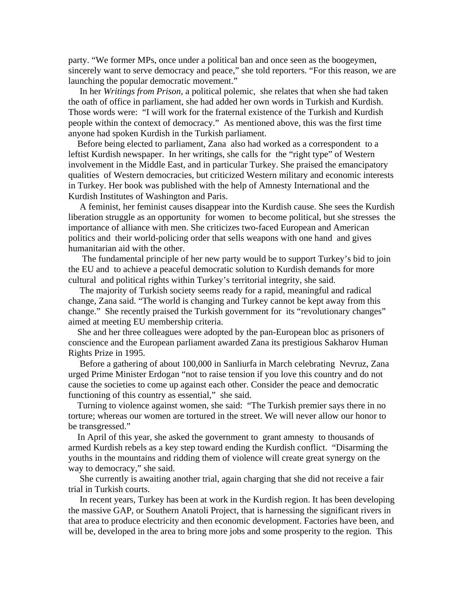party. "We former MPs, once under a political ban and once seen as the boogeymen, sincerely want to serve democracy and peace," she told reporters. "For this reason, we are launching the popular democratic movement."

 In her *Writings from Prison,* a political polemic, she relates that when she had taken the oath of office in parliament, she had added her own words in Turkish and Kurdish. Those words were: "I will work for the fraternal existence of the Turkish and Kurdish people within the context of democracy." As mentioned above, this was the first time anyone had spoken Kurdish in the Turkish parliament.

 Before being elected to parliament, Zana also had worked as a correspondent to a leftist Kurdish newspaper. In her writings, she calls for the "right type" of Western involvement in the Middle East, and in particular Turkey. She praised the emancipatory qualities of Western democracies, but criticized Western military and economic interests in Turkey. Her book was published with the help of Amnesty International and the Kurdish Institutes of Washington and Paris.

 A feminist, her feminist causes disappear into the Kurdish cause. She sees the Kurdish liberation struggle as an opportunity for women to become political, but she stresses the importance of alliance with men. She criticizes two-faced European and American politics and their world-policing order that sells weapons with one hand and gives humanitarian aid with the other.

 The fundamental principle of her new party would be to support Turkey's bid to join the EU and to achieve a peaceful democratic solution to Kurdish demands for more cultural and political rights within Turkey's territorial integrity, she said.

 The majority of Turkish society seems ready for a rapid, meaningful and radical change, Zana said. "The world is changing and Turkey cannot be kept away from this change." She recently praised the Turkish government for its "revolutionary changes" aimed at meeting EU membership criteria.

 She and her three colleagues were adopted by the pan-European bloc as prisoners of conscience and the European parliament awarded Zana its prestigious Sakharov Human Rights Prize in 1995.

 Before a gathering of about 100,000 in Sanliurfa in March celebrating Nevruz, Zana urged Prime Minister Erdogan "not to raise tension if you love this country and do not cause the societies to come up against each other. Consider the peace and democratic functioning of this country as essential," she said.

 Turning to violence against women, she said: "The Turkish premier says there in no torture; whereas our women are tortured in the street. We will never allow our honor to be transgressed."

 In April of this year, she asked the government to grant amnesty to thousands of armed Kurdish rebels as a key step toward ending the Kurdish conflict. "Disarming the youths in the mountains and ridding them of violence will create great synergy on the way to democracy," she said.

 She currently is awaiting another trial, again charging that she did not receive a fair trial in Turkish courts.

 In recent years, Turkey has been at work in the Kurdish region. It has been developing the massive GAP, or Southern Anatoli Project, that is harnessing the significant rivers in that area to produce electricity and then economic development. Factories have been, and will be, developed in the area to bring more jobs and some prosperity to the region. This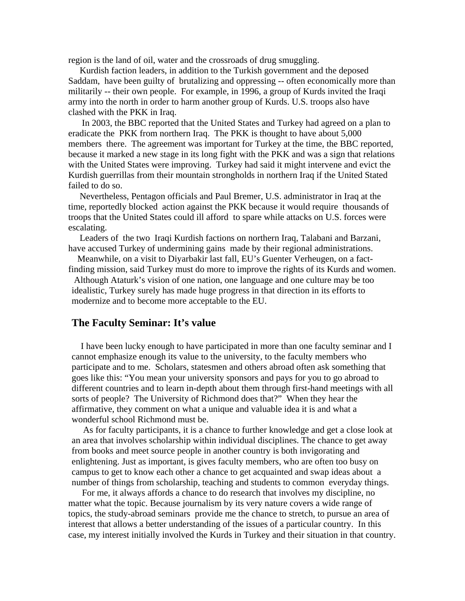region is the land of oil, water and the crossroads of drug smuggling.

Kurdish faction leaders, in addition to the Turkish government and the deposed Saddam, have been guilty of brutalizing and oppressing -- often economically more than militarily -- their own people. For example, in 1996, a group of Kurds invited the Iraqi army into the north in order to harm another group of Kurds. U.S. troops also have clashed with the PKK in Iraq.

 In 2003, the BBC reported that the United States and Turkey had agreed on a plan to eradicate the PKK from northern Iraq. The PKK is thought to have about 5,000 members there. The agreement was important for Turkey at the time, the BBC reported, because it marked a new stage in its long fight with the PKK and was a sign that relations with the United States were improving. Turkey had said it might intervene and evict the Kurdish guerrillas from their mountain strongholds in northern Iraq if the United Stated failed to do so.

 Nevertheless, Pentagon officials and Paul Bremer, U.S. administrator in Iraq at the time, reportedly blocked action against the PKK because it would require thousands of troops that the United States could ill afford to spare while attacks on U.S. forces were escalating.

 Leaders of the two Iraqi Kurdish factions on northern Iraq, Talabani and Barzani, have accused Turkey of undermining gains made by their regional administrations.

 Meanwhile, on a visit to Diyarbakir last fall, EU's Guenter Verheugen, on a factfinding mission, said Turkey must do more to improve the rights of its Kurds and women.

 Although Ataturk's vision of one nation, one language and one culture may be too idealistic, Turkey surely has made huge progress in that direction in its efforts to modernize and to become more acceptable to the EU.

## **The Faculty Seminar: It's value**

 I have been lucky enough to have participated in more than one faculty seminar and I cannot emphasize enough its value to the university, to the faculty members who participate and to me. Scholars, statesmen and others abroad often ask something that goes like this: "You mean your university sponsors and pays for you to go abroad to different countries and to learn in-depth about them through first-hand meetings with all sorts of people? The University of Richmond does that?" When they hear the affirmative, they comment on what a unique and valuable idea it is and what a wonderful school Richmond must be.

 As for faculty participants, it is a chance to further knowledge and get a close look at an area that involves scholarship within individual disciplines. The chance to get away from books and meet source people in another country is both invigorating and enlightening. Just as important, is gives faculty members, who are often too busy on campus to get to know each other a chance to get acquainted and swap ideas about a number of things from scholarship, teaching and students to common everyday things.

 For me, it always affords a chance to do research that involves my discipline, no matter what the topic. Because journalism by its very nature covers a wide range of topics, the study-abroad seminars provide me the chance to stretch, to pursue an area of interest that allows a better understanding of the issues of a particular country. In this case, my interest initially involved the Kurds in Turkey and their situation in that country.